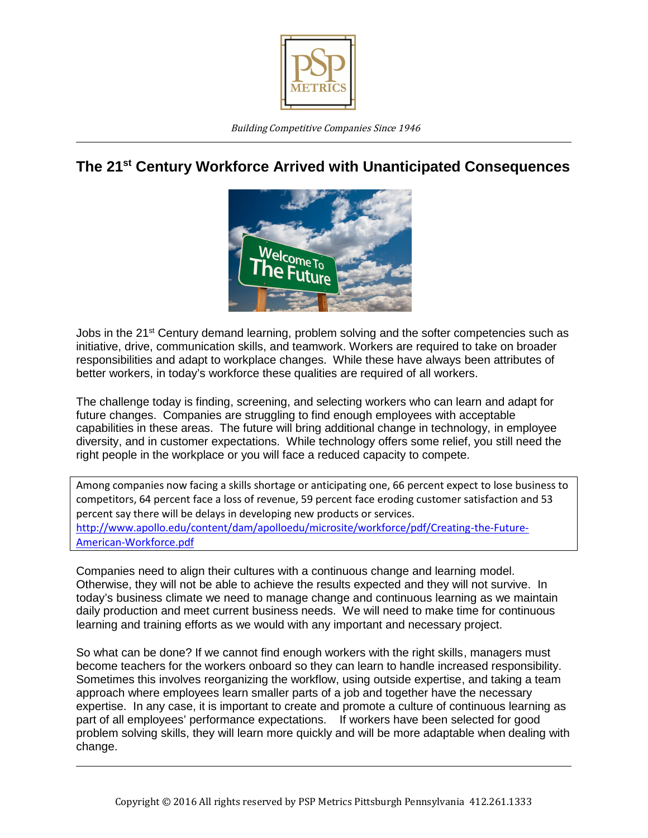

## **The 21st Century Workforce Arrived with Unanticipated Consequences**



Jobs in the 21<sup>st</sup> Century demand learning, problem solving and the softer competencies such as initiative, drive, communication skills, and teamwork. Workers are required to take on broader responsibilities and adapt to workplace changes. While these have always been attributes of better workers, in today's workforce these qualities are required of all workers.

The challenge today is finding, screening, and selecting workers who can learn and adapt for future changes. Companies are struggling to find enough employees with acceptable capabilities in these areas. The future will bring additional change in technology, in employee diversity, and in customer expectations. While technology offers some relief, you still need the right people in the workplace or you will face a reduced capacity to compete.

Among companies now facing a skills shortage or anticipating one, 66 percent expect to lose business to competitors, 64 percent face a loss of revenue, 59 percent face eroding customer satisfaction and 53 percent say there will be delays in developing new products or services. <http://www.apollo.edu/content/dam/apolloedu/microsite/workforce/pdf/Creating-the-Future->American-Workforce.pdf

Companies need to align their cultures with a continuous change and learning model. Otherwise, they will not be able to achieve the results expected and they will not survive. In today's business climate we need to manage change and continuous learning as we maintain daily production and meet current business needs. We will need to make time for continuous learning and training efforts as we would with any important and necessary project.

So what can be done? If we cannot find enough workers with the right skills, managers must become teachers for the workers onboard so they can learn to handle increased responsibility. Sometimes this involves reorganizing the workflow, using outside expertise, and taking a team approach where employees learn smaller parts of a job and together have the necessary expertise. In any case, it is important to create and promote a culture of continuous learning as part of all employees' performance expectations. If workers have been selected for good problem solving skills, they will learn more quickly and will be more adaptable when dealing with change.